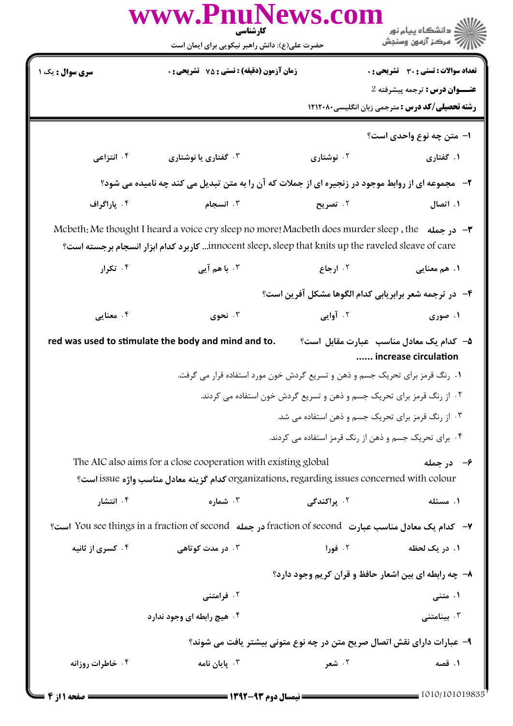|                                                                                                            | www.rnunews.com<br>كارشناسي                                                                                                                                    |                                                                                                             | <mark>ڪ دانشڪاه پيام نور</mark>                        |  |  |  |
|------------------------------------------------------------------------------------------------------------|----------------------------------------------------------------------------------------------------------------------------------------------------------------|-------------------------------------------------------------------------------------------------------------|--------------------------------------------------------|--|--|--|
|                                                                                                            | حضرت علی(ع): دانش راهبر نیکویی برای ایمان است                                                                                                                  |                                                                                                             | 7' مرڪز آزمون وسنڊش                                    |  |  |  |
| سری سوال : یک ۱                                                                                            | <b>زمان آزمون (دقیقه) : تستی : 75 تشریحی : 0</b>                                                                                                               |                                                                                                             | تعداد سوالات : تستى : 30 قشريحى : 0                    |  |  |  |
|                                                                                                            |                                                                                                                                                                |                                                                                                             | عنــوان درس : ترجمه پیشرفته 2                          |  |  |  |
|                                                                                                            |                                                                                                                                                                |                                                                                                             | <b>رشته تحصیلی/کد درس :</b> مترجمی زبان انگلیسی4۲۱۲۰۸۰ |  |  |  |
|                                                                                                            |                                                                                                                                                                |                                                                                                             | ۱– متن چه نوع واحدی است؟                               |  |  |  |
| ۰۴ انتزاعی                                                                                                 | ۰۳ گفتاری یا نوشتاری                                                                                                                                           | ۰۲ نوشتاری                                                                                                  | ۰۱ گفتاری                                              |  |  |  |
| <b>۲</b> -   مجموعه ای از روابط موجود در زنجیره ای از جملات که آن را به متن تبدیل می کند چه نامیده می شود؟ |                                                                                                                                                                |                                                                                                             |                                                        |  |  |  |
| ۰۴ پاراگراف                                                                                                | ۰۳ انسجام                                                                                                                                                      | ۰۲ تصریح                                                                                                    | ۰۱ اتصال                                               |  |  |  |
|                                                                                                            | Mcbeth: Me thought I heard a voice cry sleep no more! Macbeth does murder sleep . the $\rightarrow$ -                                                          |                                                                                                             |                                                        |  |  |  |
|                                                                                                            | innocent sleep، sleep that knits up the raveled sleave of care كاربرد كدام ابزار انسجام برجسته است؟                                                            |                                                                                                             |                                                        |  |  |  |
| ۰۴ تکرار                                                                                                   | ۰۳ با هم آيي                                                                                                                                                   | ۰۲ ارجاع                                                                                                    | ١. هم معنايي                                           |  |  |  |
|                                                                                                            |                                                                                                                                                                | ۴- در ترجمه شعر برابریابی کدام الگوها مشکل آفرین است؟                                                       |                                                        |  |  |  |
| ۰۴ معنایی                                                                                                  | ۰۳ نحوی                                                                                                                                                        | <b>۲. آوایی</b>                                                                                             | ۰۱ صوری                                                |  |  |  |
|                                                                                                            | red was used to stimulate the body and mind and to.                                                                                                            |                                                                                                             | ۵- کدام یک معادل مناسب عبارت مقابل است؟                |  |  |  |
|                                                                                                            |                                                                                                                                                                |                                                                                                             | increase circulation                                   |  |  |  |
|                                                                                                            | ۱. رنگ قرمز برای تحریک جسم و ذهن و تسریع گردش خون مورد استفاده قرار می گرفت.                                                                                   |                                                                                                             |                                                        |  |  |  |
|                                                                                                            | ۲. از رنگ قرمز برای تحریک جسم و ذهن و تسریع گردش خون استفاده می کردند.                                                                                         |                                                                                                             |                                                        |  |  |  |
|                                                                                                            |                                                                                                                                                                | ۰۳ از رنگ قرمز برای تحریک جسم و ذهن استفاده می شد.<br>۴. برای تحریک جسم و ذهن از رنگ قرمز استفاده می کردند. |                                                        |  |  |  |
|                                                                                                            |                                                                                                                                                                |                                                                                                             |                                                        |  |  |  |
|                                                                                                            | The AIC also aims for a close cooperation with existing global<br>organizations, regarding issues concerned with colour كدام كزينه معادل مناسب واژه issue است؟ |                                                                                                             | ۶- در جمله                                             |  |  |  |
| ۰۴ انتشار                                                                                                  | ۰۳ شماره                                                                                                                                                       | ۰۲ پراکندگی                                                                                                 | ۰۱ مسئله                                               |  |  |  |
|                                                                                                            | ٧− كدام يك معادل مناسب عبارت   fraction of second در جمله   You see things in a fraction of second است؟                                                        |                                                                                                             |                                                        |  |  |  |
| ۰۴ کسری از ثانیه                                                                                           | ۰۳ در مدت کوتاه <i>ی</i>                                                                                                                                       | ۰۲ فورا                                                                                                     | ۱. در یک لحظه                                          |  |  |  |
|                                                                                                            |                                                                                                                                                                | ۸- چه رابطه ای بین اشعار حافظ و قران کریم وجود دارد؟                                                        |                                                        |  |  |  |
|                                                                                                            | ۰۲ فرامتن <i>ی</i>                                                                                                                                             |                                                                                                             | ۱. متنی                                                |  |  |  |
|                                                                                                            | ۰۴ هیچ رابطه ای وجود ندارد                                                                                                                                     |                                                                                                             | ۰۳ بینامتنی                                            |  |  |  |
|                                                                                                            | ۹- عبارات دارای نقش اتصال صریح متن در چه نوع متونی بیشتر یافت می شوند؟                                                                                         |                                                                                                             |                                                        |  |  |  |
| ۰۴ خاطرات روزانه                                                                                           | ۰۳ پایان نامه                                                                                                                                                  | ۰۲ شعر                                                                                                      | ۰۱ قصه                                                 |  |  |  |
| $= 6:11$ is $=$                                                                                            |                                                                                                                                                                |                                                                                                             | 1010/101019835                                         |  |  |  |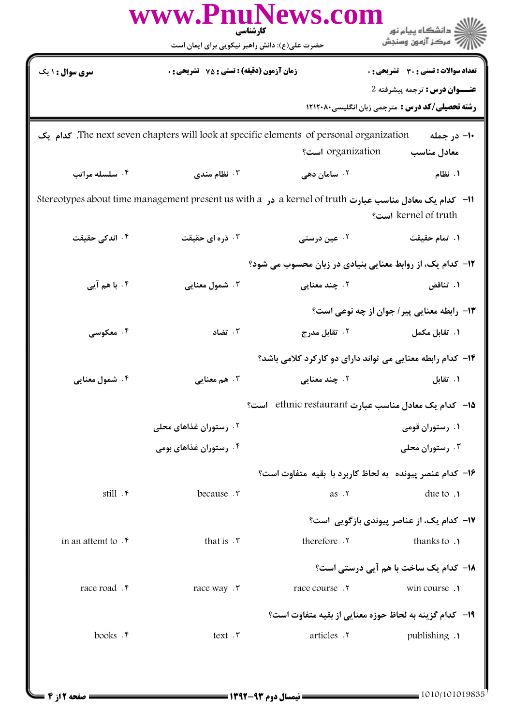|                                 | حضرت علی(ع): دانش راهبر نیکویی برای ایمان است                                                          |                        | رآ مرکز آزمون وسنجش                                                                     |
|---------------------------------|--------------------------------------------------------------------------------------------------------|------------------------|-----------------------------------------------------------------------------------------|
| <b>سری سوال : ۱ یک</b>          | زمان آزمون (دقيقه) : تستي : 75 - تشريحي : 0                                                            |                        | تعداد سوالات : تستى : 30 قشريحى : 0                                                     |
|                                 |                                                                                                        |                        | عنــوان درس : ترجمه پیشرفته 2<br><b>رشته تحصیلی/کد درس :</b> مترجمی زبان انگلیسی1۲۱۲۰۸۰ |
|                                 |                                                                                                        |                        |                                                                                         |
|                                 | The next seven chapters will look at specific elements of personal organization. كدام يك               | organization است؟      | ۱۰– در جمله<br>معادل مناسب                                                              |
| ۰۴ سلسله مراتب                  | ۰۳ نظام مندی                                                                                           | ۰۲ سامان د <i>هی</i>   | 1. نظام                                                                                 |
|                                 | 11- كدام يك معادل مناسب عبارت a kernel of truth در 1xereotypes about time management present us with a |                        | kernel of truth است؟                                                                    |
| ۰۴ اندکی حقیقت                  | ۰۳ ذره ای حقیقت                                                                                        | ۰۲ عین درست <i>ی</i>   | ١. تمام حقيقت                                                                           |
|                                 |                                                                                                        |                        | <b>۱۲</b> - کدام یک، از روابط معنایی بنیادی در زبان محسوب می شود؟                       |
| ۰۴ با هم آيي                    | ۰۳ شمول معنایی                                                                                         | ۰۲ چند م <b>ع</b> نایی | ۰۱ تناقض                                                                                |
|                                 |                                                                                                        |                        | 13- رابطه معنایی پیر/ جوان از چه نوعی است؟                                              |
| ۰۴ معکوسی                       | ۰۳ تضاد                                                                                                | ۰۲ تقابل مدرج          | ۰۱ تقابل مکمل                                                                           |
|                                 |                                                                                                        |                        | ۱۴– کدام رابطه معنایی می تواند دارای دو کارکرد کلامی باشد؟                              |
| ۰۴ شمول معنایی                  | ۰۳ هم معنایی                                                                                           | ۰۲ چند م <b>ع</b> نایی | ۰۱ تقابل                                                                                |
|                                 |                                                                                                        |                        | 14- كدام يك معادل مناسب عبارت ethnic restaurant است؟                                    |
|                                 | ۰۲ رستوران غذاهای محلی                                                                                 |                        | ۰۱ رستوران قومی                                                                         |
|                                 | ۰۴ رستوران غذاهای بومی                                                                                 |                        | ۰۳ رستوران محلی                                                                         |
|                                 |                                                                                                        |                        | ۱۶– کدام عنصر پیونده۔ به لحاظ کاربرد با بقیه متفاوت است؟                                |
| still . ۴                       | because .r                                                                                             | as .Y                  | due to $\Lambda$                                                                        |
|                                 |                                                                                                        |                        | <b>۱۷- کدام یک، از عناصر پیوندی بازگویی است</b> ؟                                       |
| in an attemt to . $\mathfrak k$ | that is $.7$                                                                                           | therefore .Y           | thanks to .1                                                                            |
|                                 |                                                                                                        |                        | 1۸– کدام یک ساخت با هم آیی درستی است؟                                                   |
| race road. F                    | race way . ٣                                                                                           | race course.           | win course.                                                                             |
|                                 |                                                                                                        |                        | 19- كدام گزينه به لحاظ حوزه معنايي از بقيه متفاوت است؟                                  |
| books . F                       | text . ۳                                                                                               | articles . ٢           | publishing .                                                                            |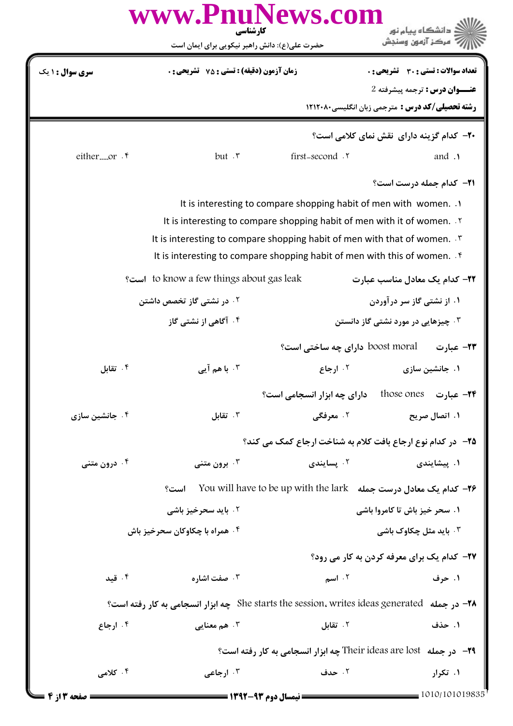|                                                                                                                                                                  | www.PnuNews.com<br>کار شناسی                                                                     |                                                                              | دانشگاه پیام نور                                        |  |
|------------------------------------------------------------------------------------------------------------------------------------------------------------------|--------------------------------------------------------------------------------------------------|------------------------------------------------------------------------------|---------------------------------------------------------|--|
|                                                                                                                                                                  | حضرت علی(ع): دانش راهبر نیکویی برای ایمان است                                                    |                                                                              | مركز آزمون وسنجش                                        |  |
| سری سوال : ۱ یک                                                                                                                                                  | <b>زمان آزمون (دقیقه) : تستی : 75 ٪ تشریحی : 0</b>                                               |                                                                              | <b>تعداد سوالات : تستی : 30 ٪ تشریحی : 0</b>            |  |
|                                                                                                                                                                  |                                                                                                  |                                                                              | عنــوان درس : ترجمه پیشرفته 2                           |  |
|                                                                                                                                                                  |                                                                                                  |                                                                              | <b>رشته تحصیلی/کد درس :</b> مترجمی زبان انگلیسی8۱۲۱۲۰۸۰ |  |
|                                                                                                                                                                  |                                                                                                  |                                                                              | <b>۲۰</b> - کدام گزینه دارای نقش نمای کلامی است؟        |  |
| eitheror .                                                                                                                                                       | $but.$ ٣                                                                                         | first-second .Y                                                              | and .                                                   |  |
|                                                                                                                                                                  |                                                                                                  |                                                                              | <b>21- کدام جمله درست است؟</b>                          |  |
|                                                                                                                                                                  |                                                                                                  | It is interesting to compare shopping habit of men with women. .             |                                                         |  |
|                                                                                                                                                                  | It is interesting to compare shopping habit of men with it of women. Y                           |                                                                              |                                                         |  |
| It is interesting to compare shopping habit of men with that of women. T<br>It is interesting to compare shopping habit of men with this of women. $\mathfrak k$ |                                                                                                  |                                                                              |                                                         |  |
|                                                                                                                                                                  | fo know a few things about gas leak                                                              |                                                                              | ۲۲- کدام یک معادل مناسب عبارت                           |  |
|                                                                                                                                                                  | ۰۲ در نشتی گاز تخصص داشتن                                                                        |                                                                              | ۱. از نشتی گاز سر درآوردن                               |  |
|                                                                                                                                                                  | ۰۴ آگاهی از نشتی گاز                                                                             |                                                                              | ۰۳ چیزهایی در مورد نشتی گاز دانستن                      |  |
|                                                                                                                                                                  |                                                                                                  | boost moral دارای چه ساختی است؟                                              | ۲۳– عبارت                                               |  |
| ۰۴ تقابل                                                                                                                                                         | ۰۳ با هم آیی                                                                                     | ۰۲ ارجاع                                                                     | ۱. جانشین سازی                                          |  |
|                                                                                                                                                                  |                                                                                                  | دارای چه ابزار انسجامی است؟                                                  | <del>۲</del> ۴– عبارت     those ones                    |  |
| ۰۴ جانشین سازی                                                                                                                                                   | ۰۳ تقابل                                                                                         | ۰۲ معرفگی                                                                    | ۱. اتصال صریح                                           |  |
|                                                                                                                                                                  |                                                                                                  | ۲۵- در کدام نوع ارجاع بافت کلام به شناخت ارجاع کمک می کند؟                   |                                                         |  |
| ۰۴ درون متنی                                                                                                                                                     | برون متنى $\cdot$                                                                                | ۰۲ پسایندی                                                                   | ۰۱ پیشایندی                                             |  |
|                                                                                                                                                                  | است؟                                                                                             | ۲۶– کدام یک معادل درست جمله   You will have to be up with the lark           |                                                         |  |
|                                                                                                                                                                  | <b>7. باید سحرخیز باشی</b>                                                                       |                                                                              | ۰۱ سحر خیز باش تا کامروا باشی                           |  |
|                                                                                                                                                                  | ۰۴ همراه با چکاوکان سحرخیز باش                                                                   |                                                                              | <b>4 . باید مثل چکاوک باشی</b>                          |  |
|                                                                                                                                                                  |                                                                                                  |                                                                              | <b>۲۷- کدام یک برای معرفه کردن به کار می رود؟</b>       |  |
| ۰۴ قید                                                                                                                                                           | ۰۳ صفت اشاره                                                                                     | ۰۲ اسم                                                                       | ۱. حرف                                                  |  |
|                                                                                                                                                                  | T۸– در جمله   She starts the session، writes ideas generated   چه ابزار انسجامی به کار رفته است؟ |                                                                              |                                                         |  |
| ۰۴ ارجاع                                                                                                                                                         | ۰ <sup>۳</sup> هم معنایی                                                                         | ۲. تقابل                                                                     | ۱. حذف                                                  |  |
|                                                                                                                                                                  |                                                                                                  | <b>۲۹</b> - در جمله   Their ideas are lost چه ابزار انسجامی به کار رفته است؟ |                                                         |  |
| ۰۴ کلامی                                                                                                                                                         | ۰۳ ارجاعی                                                                                        | ٢. حدف                                                                       | ۰۱ تکرار                                                |  |
| ـــــــــــــ صفحه ۱۳ از ۴ ــ                                                                                                                                    |                                                                                                  |                                                                              |                                                         |  |